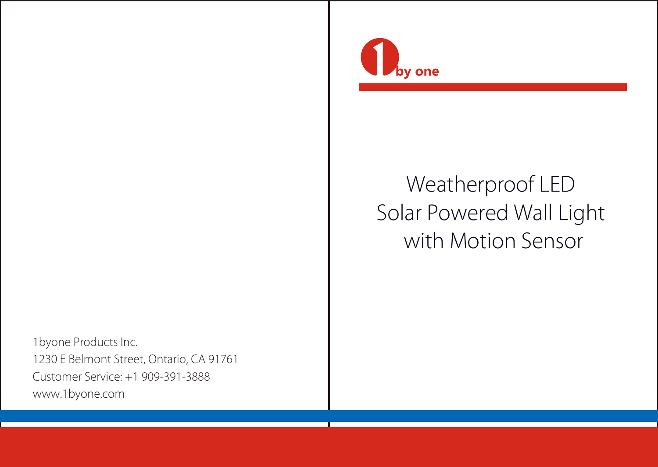

# Weatherproof LED Solar Powered Wall Light with Motion Sensor

by one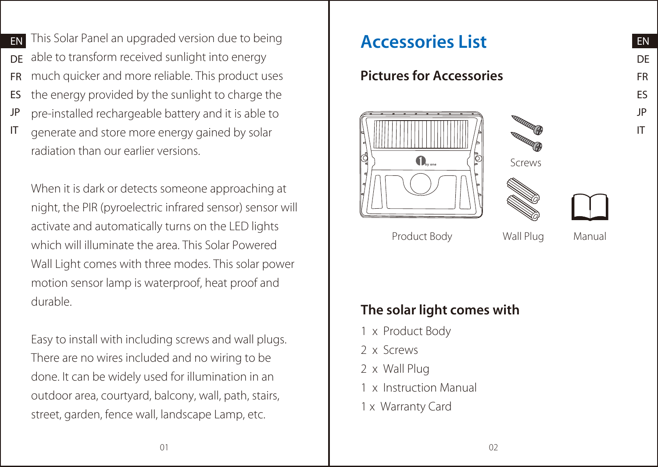EN This Solar Panel an upgraded version due to being **Accessories List** DE FR ES JP able to transform received sunlight into energy much quicker and more reliable. This product uses the energy provided by the sunlight to charge the pre-installed rechargeable battery and it is able to

IT generate and store more energy gained by solar radiation than our earlier versions.

When it is dark or detects someone approaching at night, the PIR (pyroelectric infrared sensor) sensor will activate and automatically turns on the LED lights which will illuminate the area. This Solar Powered Wall Light comes with three modes. This solar power motion sensor lamp is waterproof, heat proof and durable.

Easy to install with including screws and wall plugs. There are no wires included and no wiring to be done. It can be widely used for illumination in an outdoor area, courtyard, balcony, wall, path, stairs, street, garden, fence wall, landscape Lamp, etc.

## Pictures for Accessories



Product Body Wall Plug

Manual

EN DE FR ES JP IT

# The solar light comes with

- 1 x Product Body
- 2 x Screws
- 2 x Wall Plug
- 1 x Instruction Manual
- 1 x Warranty Card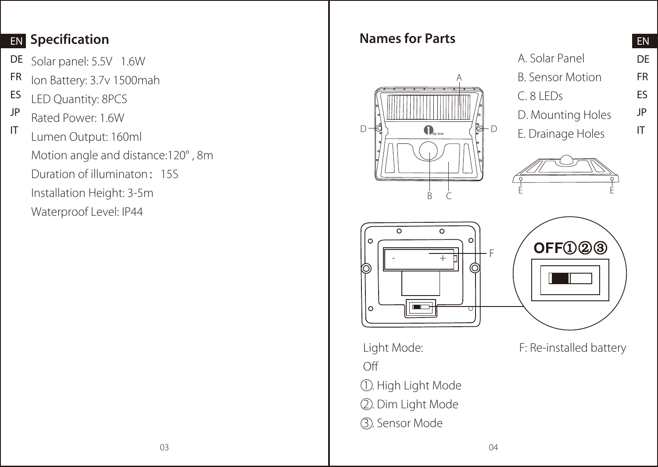## EN Specification **Names for Parts**

- DE Solar panel: 5.5V 1.6W
- FR Ion Battery: 3.7v 1500mah
- ES LED Quantity: 8PCS
- JP IT Rated Power: 1.6W
- Lumen Output: 160ml Motion angle and distance:120° , 8m Duration of illuminaton:15S Installation Height: 3-5m Waterproof Level: IP44



|                         | EN |
|-------------------------|----|
| A. Solar Panel          | DE |
| <b>B. Sensor Motion</b> | FR |
| C. 81 FDS               | Fς |
| D. Mounting Holes       | JP |
| E. Drainage Holes       | ΙT |







F: Re-installed battery

1 . High Light Mode 2 . Dim Light Mode

Light Mode: Off

3 . Sensor Mode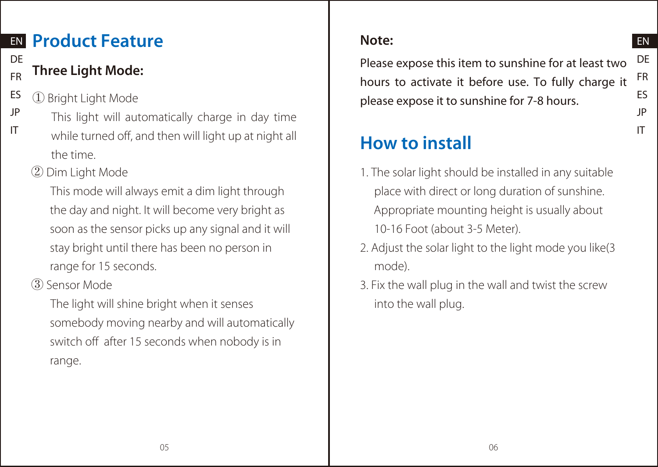# EN Product Feature

### DE FR Three Light Mode:

- ES ① Bright Light Mode
- JP IT This light will automatically charge in day time while turned off, and then will light up at night all the time.
	- ② Dim Light Mode

 This mode will always emit a dim light through the day and night. It will become very bright as soon as the sensor picks up any signal and it will stay bright until there has been no person in range for 15 seconds.

③ Sensor Mode

 The light will shine bright when it senses somebody moving nearby and will automatically switch off after 15 seconds when nobody is in range.

# Note:

DE FR ES JP Please expose this item to sunshine for at least two hours to activate it before use. To fully charge it please expose it to sunshine for 7-8 hours.

EN

IT

# How to install

- 1. The solar light should be installed in any suitable place with direct or long duration of sunshine. Appropriate mounting height is usually about 10-16 Foot (about 3-5 Meter).
- 2. Adjust the solar light to the light mode you like(3 mode).
- 3. Fix the wall plug in the wall and twist the screw into the wall plug.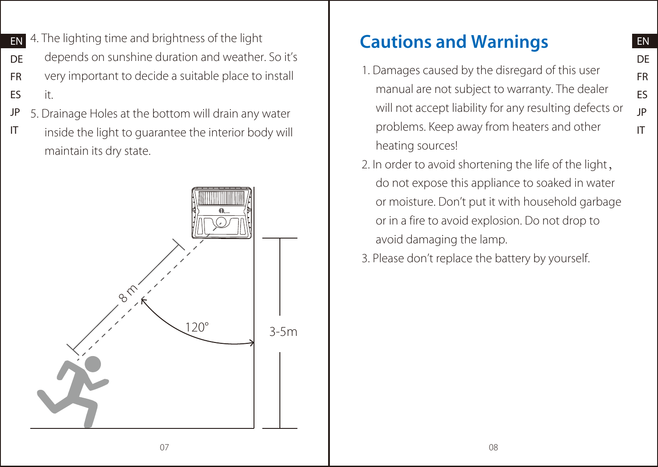EN DE FR ES JP IT

- **EN** 4. The lighting time and brightness of the light
- DE depends on sunshine duration and weather. So it's
- FR very important to decide a suitable place to install
- ES it.
- JP 5. Drainage Holes at the bottom will drain any water
- IT inside the light to guarantee the interior body will maintain its dry state.



# Cautions and Warnings

- 1. Damages caused by the disregard of this user manual are not subject to warranty. The dealer will not accept liability for any resulting defects or problems. Keep away from heaters and other heating sources!
- 2. In order to avoid shortening the life of the light, do not expose this appliance to soaked in water or moisture. Don't put it with household garbage or in a fire to avoid explosion. Do not drop to avoid damaging the lamp.
- 3. Please don't replace the battery by yourself.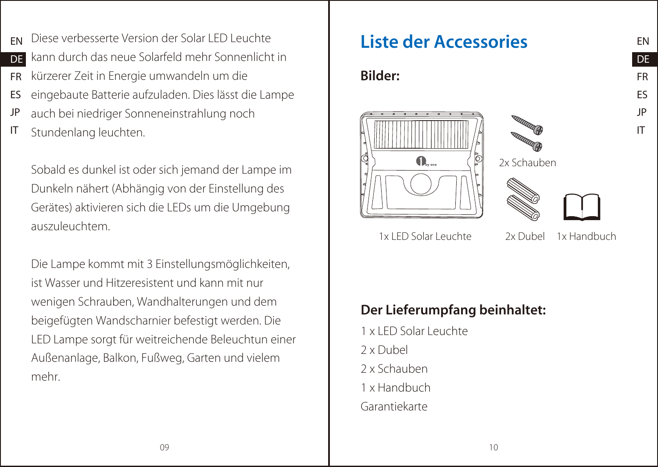- EN Diese verbesserte Version der Solar LED Leuchte **Diese Version der Accessories**
- DE kann durch das neue Solarfeld mehr Sonnenlicht in
- FR kürzerer Zeit in Energie umwandeln um die
- ES eingebaute Batterie aufzuladen. Dies lässt die Lampe
- JP auch bei niedriger Sonneneinstrahlung noch
- IT Stundenlang leuchten.

Sobald es dunkel ist oder sich jemand der Lampe im Dunkeln nähert (Abhängig von der Einstellung des Gerätes) aktivieren sich die LEDs um die Umgebung auszuleuchtem.

Die Lampe kommt mit 3 Einstellungsmöglichkeiten, ist Wasser und Hitzeresistent und kann mit nur wenigen Schrauben, Wandhalterungen und dem beigefügten Wandscharnier befestigt werden. Die LED Lampe sorgt für weitreichende Beleuchtun einer Außenanlage, Balkon, Fußweg, Garten und vielem mehr.

## Bilder:



2x Schauben



1x LED Solar Leuchte 2x Dubel

1x Handbuch

EN DE FR ES JP IT

# Der Lieferumpfang beinhaltet:

1 x LED Solar Leuchte 2 x Dubel 2 x Schauben 1 x Handbuch Garantiekarte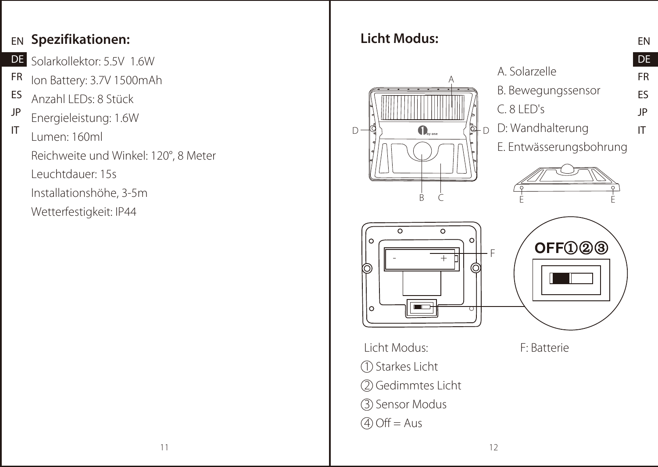## $_{\text{EN}}$  Spezifikationen:  $\hphantom{xx}$  Licht Modus:

- DE Solarkollektor: 5.5V 1.6W
- FR Ion Battery: 3.7V 1500mAh
- ES Anzahl LEDs: 8 Stück
- JP Energieleistung: 1.6W
- IT Lumen: 160ml Reichweite und Winkel: 120°, 8 Meter Leuchtdauer: 15s Installationshöhe, 3-5m Wetterfestigkeit: IP44

# A. Solarzelle A B. Bewegungssensor C. 8 LED's D: Wandhalterung D ¶3) (D<sub>w</sub>.,, (β†D E. Entwässerungsbohrung B C È È ठ  $\Omega$  $OFF $\bigcirc$   $\bigcirc$   $\bigcirc$   $\bigcirc$   $\bigcirc$$ (õ Licht Modus: F: Batterie 1 Starkes Licht 2 Gedimmtes Licht 3 Sensor Modus  $4$  Off = Aus

EN

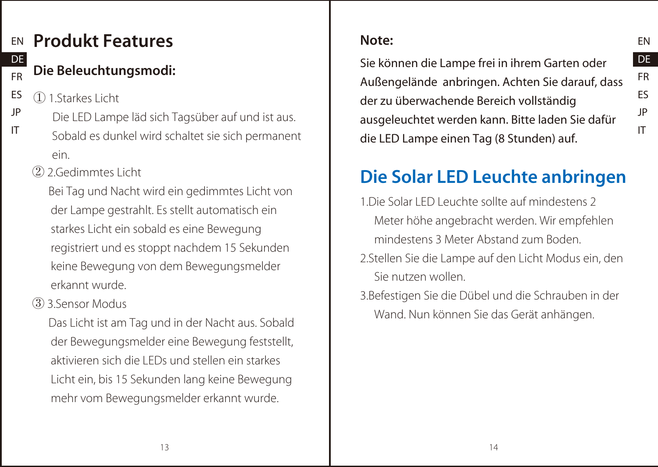### EN Produkt Features DE

# Die Beleuchtungsmodi:

ES JP ① 1.Starkes Licht

FR

IT

- Die LED Lampe läd sich Tagsüber auf und ist aus.
- Sobald es dunkel wird schaltet sie sich permanent ein.
- ② 2.Gedimmtes Licht

 Bei Tag und Nacht wird ein gedimmtes Licht von der Lampe gestrahlt. Es stellt automatisch ein starkes Licht ein sobald es eine Bewegung registriert und es stoppt nachdem 15 Sekunden keine Bewegung von dem Bewegungsmelder erkannt wurde.

③ 3.Sensor Modus

 Das Licht ist am Tag und in der Nacht aus. Sobald der Bewegungsmelder eine Bewegung feststellt, aktivieren sich die LEDs und stellen ein starkes Licht ein, bis 15 Sekunden lang keine Bewegung mehr vom Bewegungsmelder erkannt wurde.

# Note:

Sie können die Lampe frei in ihrem Garten oder Außengelände anbringen. Achten Sie darauf, dass der zu überwachende Bereich vollständig ausgeleuchtet werden kann. Bitte laden Sie dafür die LED Lampe einen Tag (8 Stunden) auf.

EN DE FR ES JP IT

# Die Solar LED Leuchte anbringen

- 1.Die Solar LED Leuchte sollte auf mindestens 2 Meter höhe angebracht werden. Wir empfehlen mindestens 3 Meter Abstand zum Boden.
- 2.Stellen Sie die Lampe auf den Licht Modus ein, den Sie nutzen wollen.
- 3.Befestigen Sie die Dübel und die Schrauben in der Wand. Nun können Sie das Gerät anhängen.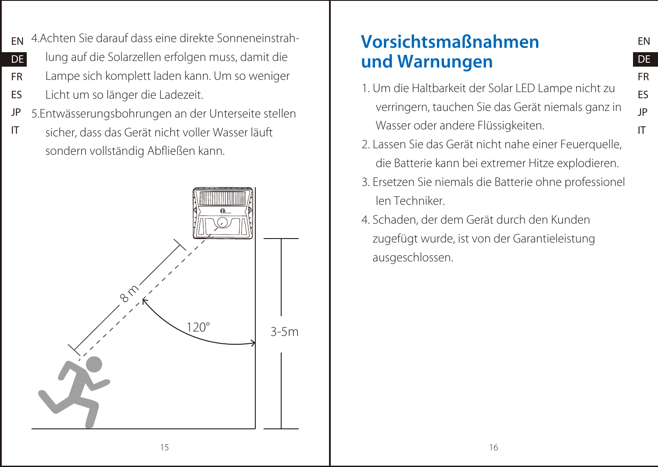- EN 4.Achten Sie darauf dass eine direkte Sonneneinstrah-
- DE lung auf die Solarzellen erfolgen muss, damit die
- FR Lampe sich komplett laden kann. Um so weniger
- ES Licht um so länger die Ladezeit.
- JP 5.Entwässerungsbohrungen an der Unterseite stellen
- IT sicher, dass das Gerät nicht voller Wasser läuft sondern vollständig Abfließen kann.



# Vorsichtsmaßnahmen und Warnungen

1. Um die Haltbarkeit der Solar LED Lampe nicht zu verringern, tauchen Sie das Gerät niemals ganz in Wasser oder andere Flüssigkeiten.

EN DE FR ES JP IT

- 2. Lassen Sie das Gerät nicht nahe einer Feuerquelle, die Batterie kann bei extremer Hitze explodieren.
- 3. Ersetzen Sie niemals die Batterie ohne professionel len Techniker.
- 4. Schaden, der dem Gerät durch den Kunden zugefügt wurde, ist von der Garantieleistung ausgeschlossen.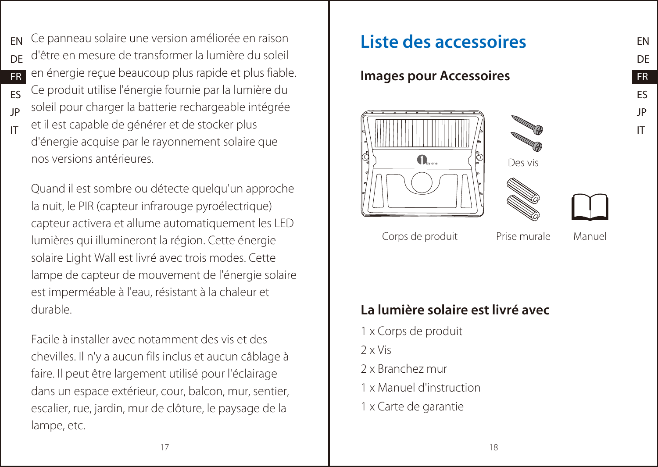- EN **DE** FR Ce panneau solaire une version améliorée en raison **Liste des accessoires** d'être en mesure de transformer la lumière du soleil en énergie reçue beaucoup plus rapide et plus fiable.
- ES Ce produit utilise l'énergie fournie par la lumière du
- JP soleil pour charger la batterie rechargeable intégrée
- IT et il est capable de générer et de stocker plus d'énergie acquise par le rayonnement solaire que nos versions antérieures.

Quand il est sombre ou détecte quelqu'un approche la nuit, le PIR (capteur infrarouge pyroélectrique) capteur activera et allume automatiquement les LED lumières qui illumineront la région. Cette énergie solaire Light Wall est livré avec trois modes. Cette lampe de capteur de mouvement de l'énergie solaire est imperméable à l'eau, résistant à la chaleur et durable.

Facile à installer avec notamment des vis et des chevilles. Il n'y a aucun fils inclus et aucun câblage à faire. Il peut être largement utilisé pour l'éclairage dans un espace extérieur, cour, balcon, mur, sentier, escalier, rue, jardin, mur de clôture, le paysage de la lampe, etc.

# Images pour Accessoires







EN DE FR ES JP IT

Corps de produit Prise murale

Manuel

# La lumière solaire est livré avec

1 x Corps de produit  $2 \times$  Vis 2 x Branchez mur 1 x Manuel d'instruction 1 x Carte de garantie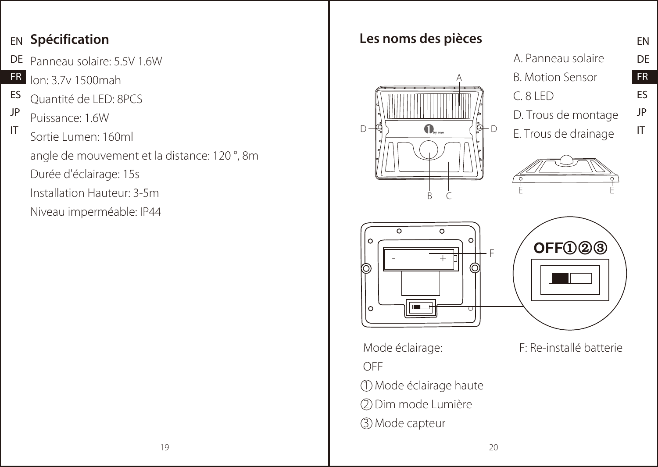## **EN Spécification**

- DE Panneau solaire: 5.5V 1.6W
- FR Ion: 3.7v 1500mah
- ES Quantité de LED: 8PCS
- JP Puissance: 1.6W
- IT Sortie Lumen: 160ml angle de mouvement et la distance: 120 °, 8m Durée d'éclairage: 15s Installation Hauteur: 3-5m Niveau imperméable: IP44

# Les noms des pièces



|                         | EN |
|-------------------------|----|
| A. Panneau solaire      | DE |
| B. Motion Sensor        | FR |
| C.81FD                  | F٢ |
| D. Trous de montage     | JP |
| F. Taxoo ala alaabaa aa |    |

E. Trous de drainage







Mode éclairage: 1 Mode éclairage haute 2 Dim mode Lumière

3 Mode capteur

OFF

F: Re-installé batterie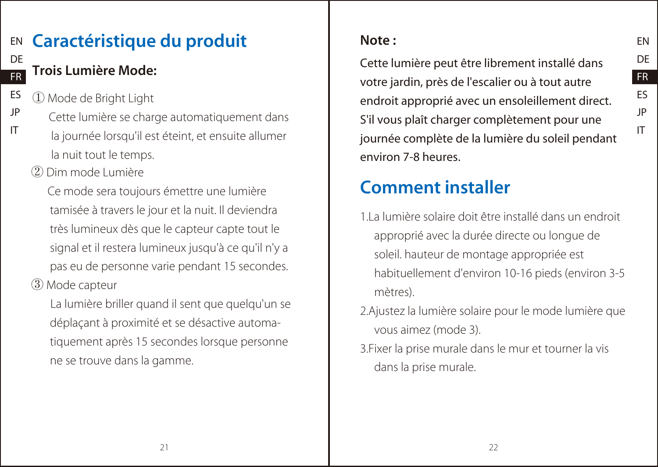### EN DE FR Caractéristique du produit Trois Lumière Mode:

- ES ① Mode de Bright Light
- JP IT Cette lumière se charge automatiquement dans la journée lorsqu'il est éteint, et ensuite allumer la nuit tout le temps.
	- ② Dim mode Lumière

 Ce mode sera toujours émettre une lumière tamisée à travers le jour et la nuit. Il deviendra très lumineux dès que le capteur capte tout le signal et il restera lumineux jusqu'à ce qu'il n'y a pas eu de personne varie pendant 15 secondes.

③ Mode capteur

 La lumière briller quand il sent que quelqu'un se déplaçant à proximité et se désactive automatiquement après 15 secondes lorsque personne ne se trouve dans la gamme.

# Note :

Cette lumière peut être librement installé dans votre jardin, près de l'escalier ou à tout autre endroit approprié avec un ensoleillement direct. S'il vous plaît charger complètement pour une journée complète de la lumière du soleil pendant environ 7-8 heures.

EN DE FR ES JP IT

# Comment installer

- 1.La lumière solaire doit être installé dans un endroit approprié avec la durée directe ou longue de soleil. hauteur de montage appropriée est habituellement d'environ 10-16 pieds (environ 3-5 mètres).
- 2.Ajustez la lumière solaire pour le mode lumière que vous aimez (mode 3).
- 3.Fixer la prise murale dans le mur et tourner la vis dans la prise murale.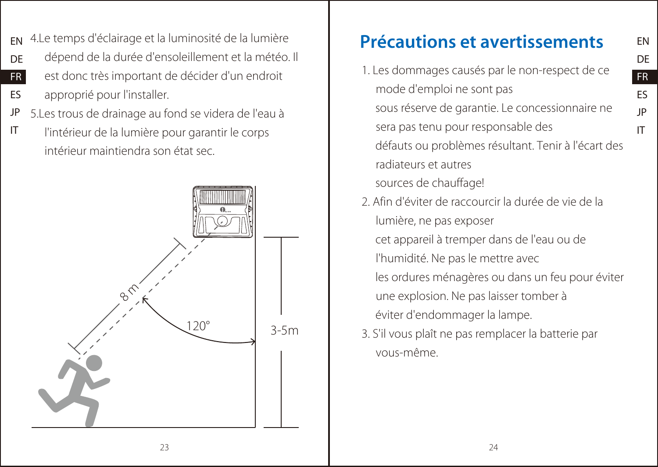EN DE FR ES JP IT

- EN 4.Le temps d'éclairage et la luminosité de la lumière
- DE dépend de la durée d'ensoleillement et la météo. Il
- FR est donc très important de décider d'un endroit
- ES approprié pour l'installer.
- JP 5.Les trous de drainage au fond se videra de l'eau à
- IT l'intérieur de la lumière pour garantir le corps intérieur maintiendra son état sec.



# Précautions et avertissements

- 1. Les dommages causés par le non-respect de ce mode d'emploi ne sont pas sous réserve de garantie. Le concessionnaire ne sera pas tenu pour responsable des défauts ou problèmes résultant. Tenir à l'écart des radiateurs et autres sources de chauffage!
- 2. Afin d'éviter de raccourcir la durée de vie de la lumière, ne pas exposer

 cet appareil à tremper dans de l'eau ou de l'humidité. Ne pas le mettre avec les ordures ménagères ou dans un feu pour éviter une explosion. Ne pas laisser tomber à éviter d'endommager la lampe.

3. S'il vous plaît ne pas remplacer la batterie par vous-même.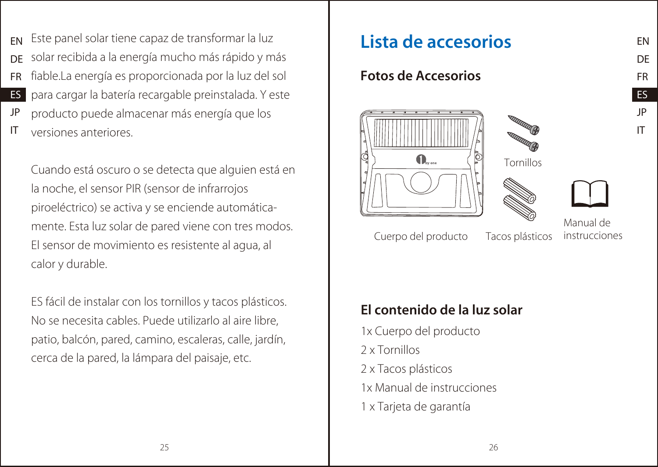- EN DE FR ES JP Este panel solar tiene capaz de transformar la luz **Esta de accesorios** solar recibida a la energía mucho más rápido y más fiable.La energía es proporcionada por la luz del sol para cargar la batería recargable preinstalada. Y este producto puede almacenar más energía que los
- IT versiones anteriores.

Cuando está oscuro o se detecta que alguien está en la noche, el sensor PIR (sensor de infrarrojos piroeléctrico) se activa y se enciende automáticamente. Esta luz solar de pared viene con tres modos. El sensor de movimiento es resistente al agua, al calor y durable.

ES fácil de instalar con los tornillos y tacos plásticos. No se necesita cables. Puede utilizarlo al aire libre, patio, balcón, pared, camino, escaleras, calle, jardín, cerca de la pared, la lámpara del paisaje, etc.

## Fotos de Accesorios







EN DE FR ES JP IT

Cuerpo del producto Tacos plásticos

Manual de instrucciones

# El contenido de la luz solar

1x Cuerpo del producto 2 x Tornillos 2 x Tacos plásticos 1x Manual de instrucciones 1 x Tarjeta de garantía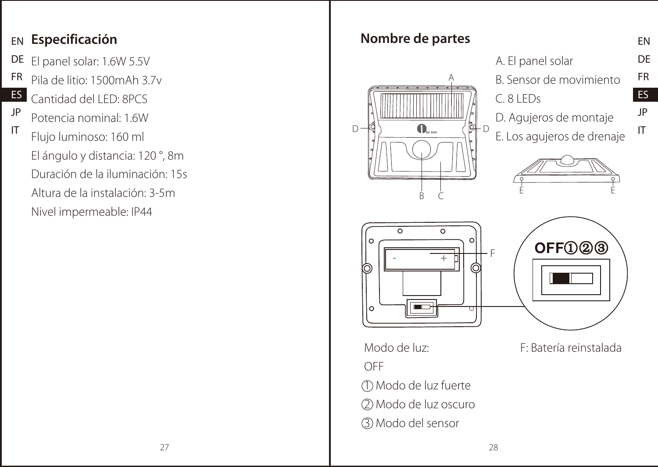# EN Especificación

- DE El panel solar: 1.6W 5.5V
- FR Pila de litio: 1500mAh 3.7v
- ES Cantidad del LED: 8PCS
- JP Potencia nominal: 1.6W
- IT Flujo luminoso: 160 ml El ángulo y distancia: 120 °, 8m Duración de la iluminación: 15s Altura de la instalación: 3-5m Nivel impermeable: IP44



EN DE FR ES JP IT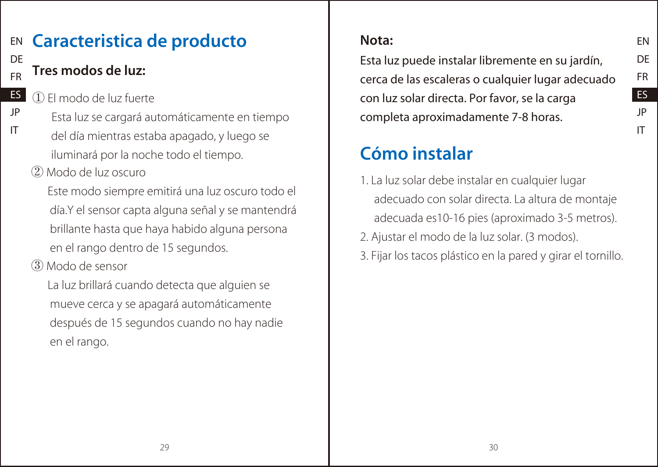### EN DE Caracteristica de producto

# Tres modos de luz:

FR

JP IT

- ES ① El modo de luz fuerte
	- Esta luz se cargará automáticamente en tiempo del día mientras estaba apagado, y luego se iluminará por la noche todo el tiempo.
	- ② Modo de luz oscuro

 Este modo siempre emitirá una luz oscuro todo el día.Y el sensor capta alguna señal y se mantendrá brillante hasta que haya habido alguna persona en el rango dentro de 15 segundos.

③ Modo de sensor

 La luz brillará cuando detecta que alguien se mueve cerca y se apagará automáticamente después de 15 segundos cuando no hay nadie en el rango.

# Nota:

Esta luz puede instalar libremente en su jardín, cerca de las escaleras o cualquier lugar adecuado con luz solar directa. Por favor, se la carga completa aproximadamente 7-8 horas.

# Cómo instalar

- 1. La luz solar debe instalar en cualquier lugar adecuado con solar directa. La altura de montaje adecuada es10-16 pies (aproximado 3-5 metros).
- 2. Ajustar el modo de la luz solar. (3 modos).
- 3. Fijar los tacos plástico en la pared y girar el tornillo.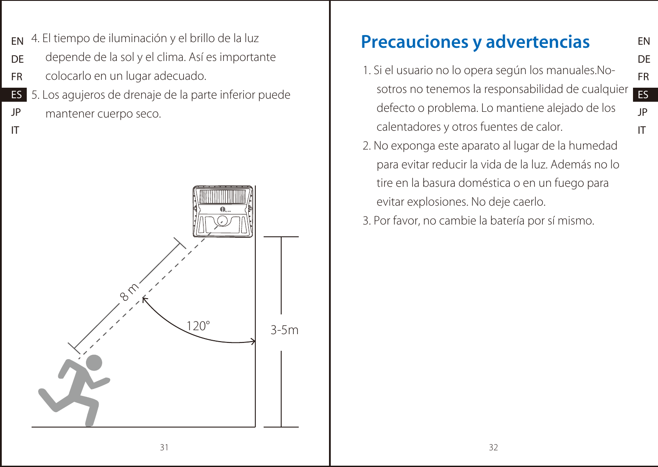EN DE FR ES JP IT

- EN 4. El tiempo de iluminación y el brillo de la luz
- DE depende de la sol y el clima. Así es importante
- FR colocarlo en un lugar adecuado.
- ES JP 5. Los agujeros de drenaje de la parte inferior puede mantener cuerpo seco.
- IT



# Precauciones y advertencias

- 1. Si el usuario no lo opera según los manuales.Nosotros no tenemos la responsabilidad de cualquier defecto o problema. Lo mantiene alejado de los calentadores y otros fuentes de calor.
- 2. No exponga este aparato al lugar de la humedad para evitar reducir la vida de la luz. Además no lo tire en la basura doméstica o en un fuego para evitar explosiones. No deje caerlo.
- 3. Por favor, no cambie la batería por sí mismo.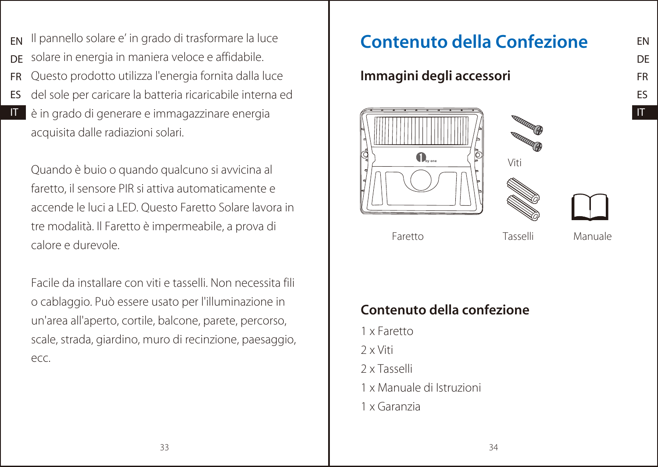- EN Il pannello solare e' in grado di trasformare la luce **Il contenuto della Confezione**
- DE solare in energia in maniera veloce e affidabile.
- FR Questo prodotto utilizza l'energia fornita dalla luce
- ES del sole per caricare la batteria ricaricabile interna ed
- IT è in grado di generare e immagazzinare energia acquisita dalle radiazioni solari.

Quando è buio o quando qualcuno si avvicina al faretto, il sensore PIR si attiva automaticamente e accende le luci a LED. Questo Faretto Solare lavora in tre modalità. Il Faretto è impermeabile, a prova di calore e durevole.

Facile da installare con viti e tasselli. Non necessita fili o cablaggio. Può essere usato per l'illuminazione in un'area all'aperto, cortile, balcone, parete, percorso, scale, strada, giardino, muro di recinzione, paesaggio, ecc.

### Immagini degli accessori







Faretto Tasselli

Manuale

# Contenuto della confezione

- 1 x Faretto
- 2 x Viti
- 2 x Tasselli
- 1 x Manuale di Istruzioni
- 1 x Garanzia

IT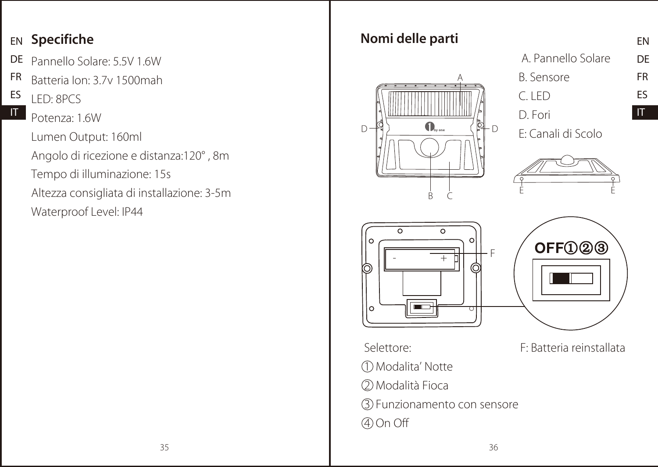## EN Specifiche

- DE Pannello Solare: 5.5V 1.6W
- FR Batteria Ion: 3.7v 1500mah
- ES IT LED: 8PCS
	- Potenza: 1.6W Lumen Output: 160ml Angolo di ricezione e distanza:120° , 8m Tempo di illuminazione: 15s Altezza consigliata di installazione: 3-5m Waterproof Level: IP44

# Nomi delle parti A



| A. Pannello Solare | DE           |
|--------------------|--------------|
| <b>B.</b> Sensore  | FR           |
| C. I FD            | Fς           |
| D. Fori            | $\mathsf{I}$ |

EN

E: Canali di Scolo





Selettore: 1 Modalita' Notte 2 Modalità Fioca 3 Funzionamento con sensore 4 On Off

F: Batteria reinstallata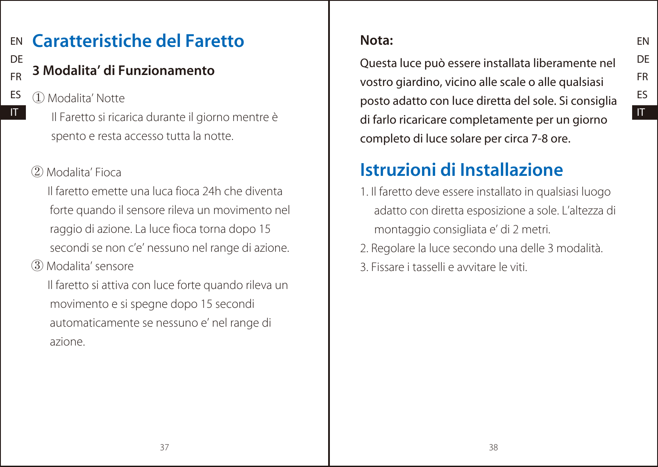### EN DE Caratteristiche del Faretto

# 3 Modalita' di Funzionamento

ES ① Modalita' Notte

FR

IT

 Il Faretto si ricarica durante il giorno mentre è spento e resta accesso tutta la notte.

# ② Modalita' Fioca

 Il faretto emette una luca fioca 24h che diventa forte quando il sensore rileva un movimento nel raggio di azione. La luce fioca torna dopo 15 secondi se non c'e' nessuno nel range di azione.

③ Modalita' sensore

 Il faretto si attiva con luce forte quando rileva un movimento e si spegne dopo 15 secondi automaticamente se nessuno e' nel range di azione.

# Nota:

Questa luce può essere installata liberamente nel vostro giardino, vicino alle scale o alle qualsiasi posto adatto con luce diretta del sole. Si consiglia di farlo ricaricare completamente per un giorno completo di luce solare per circa 7-8 ore.

EN DE FR ES IT

# Istruzioni di Installazione

- 1. Il faretto deve essere installato in qualsiasi luogo adatto con diretta esposizione a sole. L'altezza di montaggio consigliata e' di 2 metri.
- 2. Regolare la luce secondo una delle 3 modalità.
- 3. Fissare i tasselli e avvitare le viti.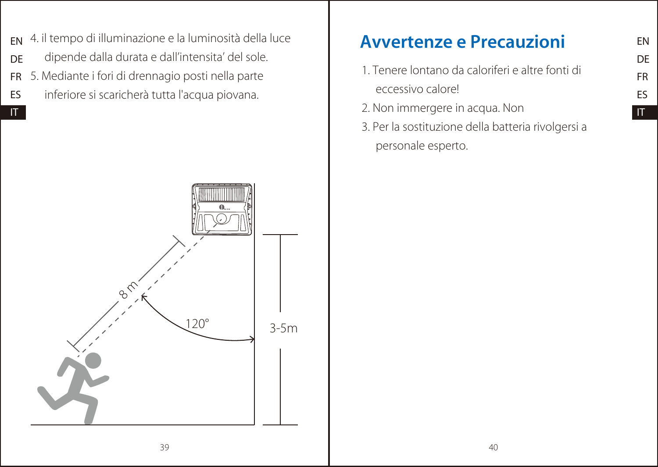- EN 4. il tempo di illuminazione e la luminosità della luce
- DE dipende dalla durata e dall'intensita' del sole.
- FR 5. Mediante i fori di drennagio posti nella parte
- ES inferiore si scaricherà tutta l'acqua piovana.

IT



# Avvertenze e Precauzioni

- 1. Tenere lontano da caloriferi e altre fonti di eccessivo calore!
- 2. Non immergere in acqua. Non
- 3. Per la sostituzione della batteria rivolgersi a personale esperto.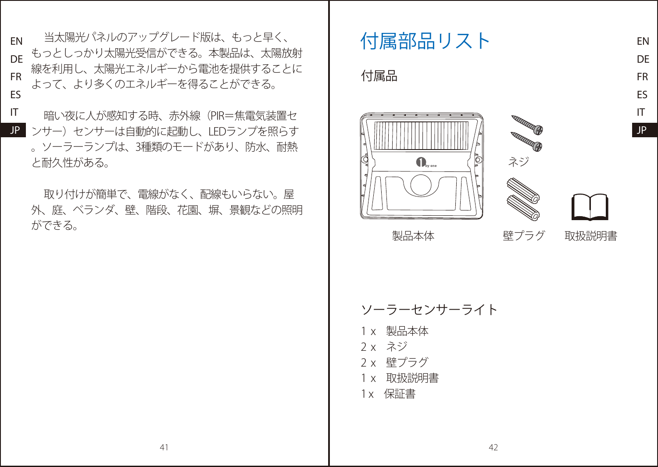EN DE もっとしっかり太陽光受信ができる。本製品は、太陽放射 FR ES 当太陽光パネルのアップグレード版は、もっと早く、 イント イント イントリスト 線を利用し、太陽光エネルギーから電池を提供することに よって、より多くのエネルギーを得ることができる。

IT

JP ンサー)センサーは自動的に起動し、LEDランプを照らす 暗い夜に人が感知する時、赤外線(PIR=焦電気装置セ 。ソーラーランプは、3種類のモードがあり、防水、耐熱 と耐久性がある。

取り付けが簡単で、電線がなく、配線もいらない。屋 外、庭、ベランダ、壁、階段、花園、塀、景観などの照明 ができる。

### 付属品





製品本体 壁プラグ

取扱説明書

EN DE FR ES IT JP

- ソーラーセンサーライト
- 1 x 製品本体
- 2 x ネジ
- 2 x 壁プラグ
- 1 x 取扱説明書
- 1x 保証書

41 42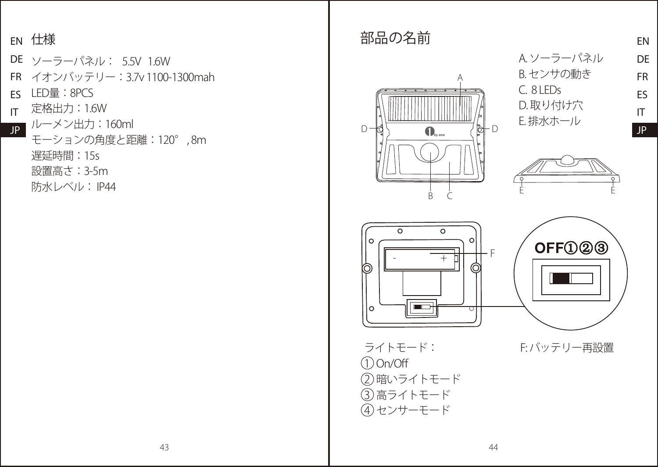### FN 仕様

DE ソーラーパネル: 5.5V 1.6W FR イオンバッテリー:3.7v 1100-1300mah ES LED量:8PCS <sub>IT</sub> 定格出力:1.6W JP ルーメン出力:160ml モーションの角度と距離:120° , 8m

遅延時間:15s

設置高さ:3-5m

防水レベル: IP44

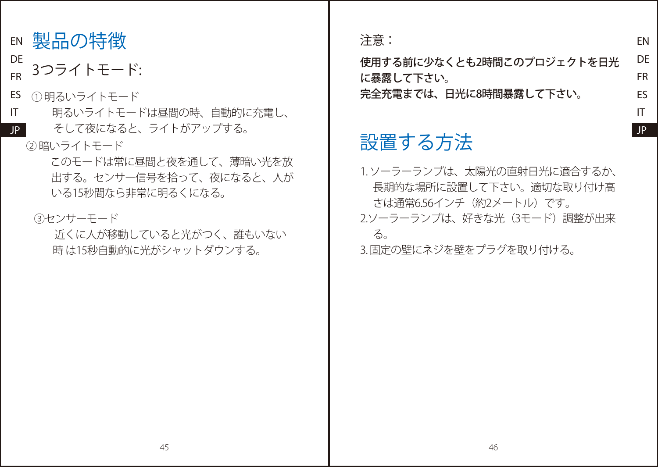- EN 製品の特徴
- DE FR 3つライトモード:
- ES ① 明るいライトモード
- IT 明るいライトモードは昼間の時、自動的に充電し、
- JP そして夜になると、ライトがアップする。
	- ② 暗いライトモード
		- このモードは常に昼間と夜を通して、薄暗い光を放 出する。センサー信号を拾って、夜になると、人が いる15秒間なら非常に明るくになる。
		- ③センサーモード
			- 近くに人が移動していると光がつく、誰もいない 時 は15秒自動的に光がシャットダウンする。

注意:

使用する前に少なくとも2時間このプロジェクトを日光 に暴露して下さい。 完全充電までは、日光に8時間暴露して下さい。

EN DE FR ES IT JP

# 設置する方法

1. ソーラーランプは、太陽光の直射日光に適合するか、 長期的な場所に設置して下さい。適切な取り付け高 さは通常6.56インチ(約2メートル)です。 2.ソーラーランプは、好きな光(3モード)調整が出来 る。

3. 固定の壁にネジを壁をプラグを取り付ける。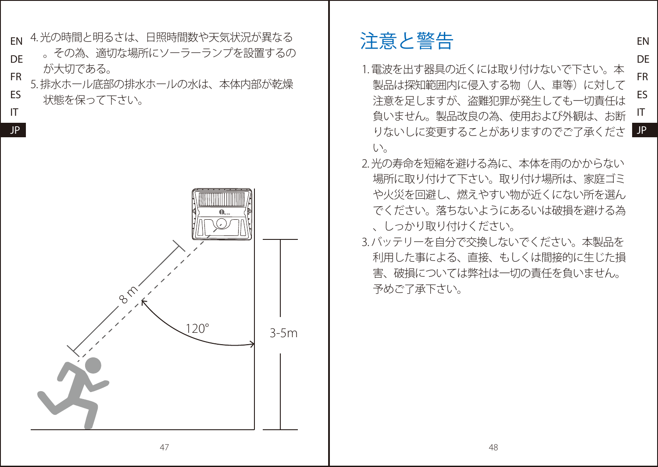- EN 4 光の時間と明るさは、日昭時間数や天気状況が異なる
- **DE** FR 。その為、適切な場所にソーラーランプを設置するの が大切である。
- ES IT 5. 排水ホール底部の排水ホールの水は、本体内部が乾燥 状態を保って下さい。

JP



# 注意と警告

FR ES IT りないしに変更することがありますのでご了承くださ 1. 電波を出す器具の近くには取り付けないで下さい。本 製品は探知範囲内に侵入する物(人、車等)に対して 注音を足しますが、盗難犯罪が発生しても、一切責任は 負いません。製品改良の為、使用および外観は、お断 い。

EN DE

- 2. 光の寿命を短縮を避ける為に、本体を雨のかからない 場所に取り付けて下さい。取り付け場所は、家庭ゴミ や火災を回避し、燃えやすい物が近くにない所を選ん でください。落ちないようにあるいは破損を避ける為 、しっかり取り付けください。
- 3. バッテリーを自分で交換しないでください。本製品を 利用した事による、直接、もしくは間接的に生じた損 害、破損については弊社は一切の責任を負いません。 予めご了承下さい。

47 and 48